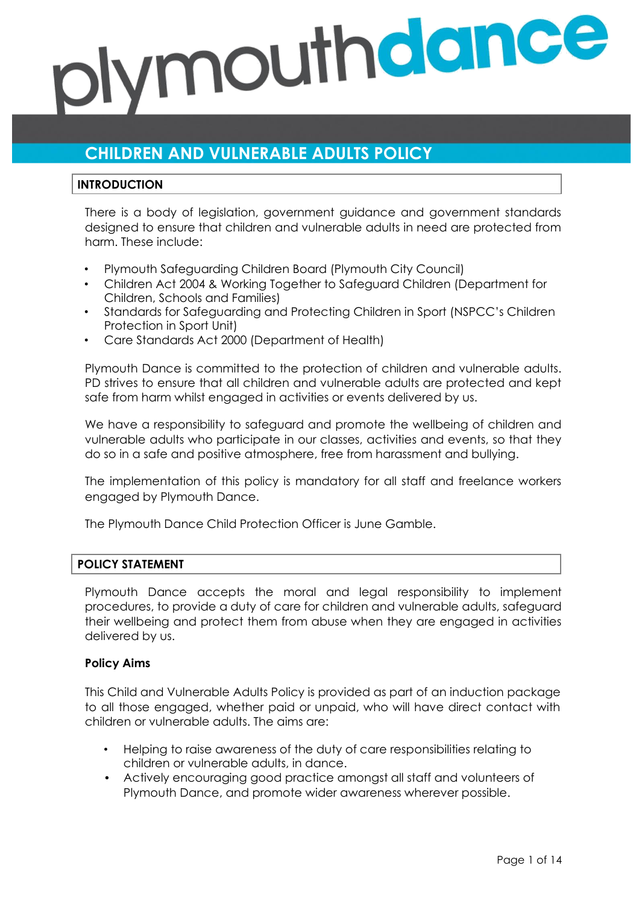# ymouthdance

# **CHILDREN AND VULNERABLE ADULTS POLICY**

# **INTRODUCTION**

There is a body of legislation, government guidance and government standards designed to ensure that children and vulnerable adults in need are protected from harm. These include:

- Plymouth Safeguarding Children Board (Plymouth City Council)
- Children Act 2004 & Working Together to Safeguard Children (Department for Children, Schools and Families)
- Standards for Safeguarding and Protecting Children in Sport (NSPCC's Children Protection in Sport Unit)
- Care Standards Act 2000 (Department of Health)

Plymouth Dance is committed to the protection of children and vulnerable adults. PD strives to ensure that all children and vulnerable adults are protected and kept safe from harm whilst engaged in activities or events delivered by us.

We have a responsibility to safeguard and promote the wellbeing of children and vulnerable adults who participate in our classes, activities and events, so that they do so in a safe and positive atmosphere, free from harassment and bullying.

The implementation of this policy is mandatory for all staff and freelance workers engaged by Plymouth Dance.

The Plymouth Dance Child Protection Officer is June Gamble.

# **POLICY STATEMENT**

Plymouth Dance accepts the moral and legal responsibility to implement procedures, to provide a duty of care for children and vulnerable adults, safeguard their wellbeing and protect them from abuse when they are engaged in activities delivered by us.

# **Policy Aims**

This Child and Vulnerable Adults Policy is provided as part of an induction package to all those engaged, whether paid or unpaid, who will have direct contact with children or vulnerable adults. The aims are:

- Helping to raise awareness of the duty of care responsibilities relating to children or vulnerable adults, in dance.
- Actively encouraging good practice amongst all staff and volunteers of Plymouth Dance, and promote wider awareness wherever possible.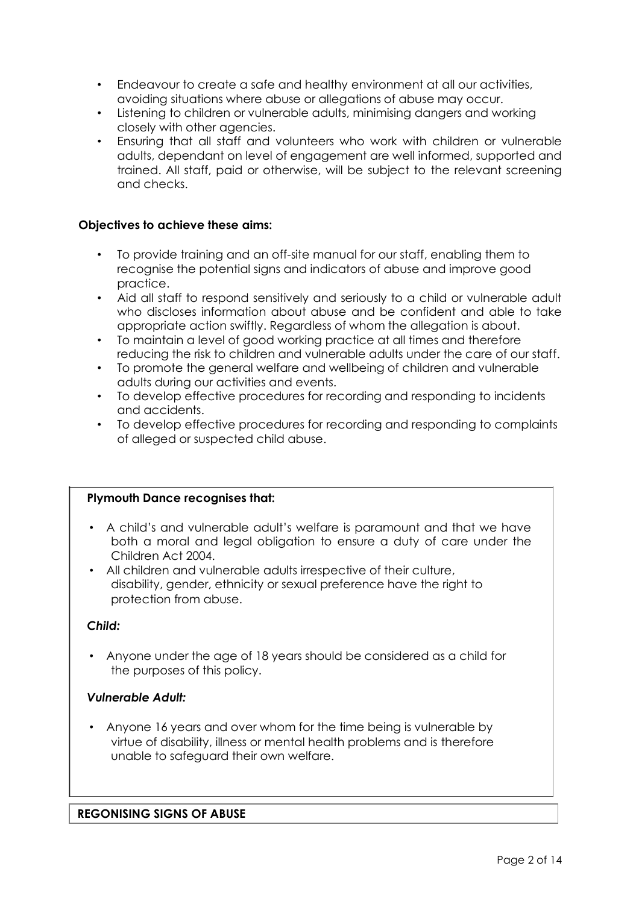- Endeavour to create a safe and healthy environment at all our activities, avoiding situations where abuse or allegations of abuse may occur.
- Listening to children or vulnerable adults, minimising dangers and working closely with other agencies.
- Ensuring that all staff and volunteers who work with children or vulnerable adults, dependant on level of engagement are well informed, supported and trained. All staff, paid or otherwise, will be subject to the relevant screening and checks.

# **Objectives to achieve these aims:**

- To provide training and an off-site manual for our staff, enabling them to recognise the potential signs and indicators of abuse and improve good practice.
- Aid all staff to respond sensitively and seriously to a child or vulnerable adult who discloses information about abuse and be confident and able to take appropriate action swiftly. Regardless of whom the allegation is about.
- To maintain a level of good working practice at all times and therefore reducing the risk to children and vulnerable adults under the care of our staff.
- To promote the general welfare and wellbeing of children and vulnerable adults during our activities and events.
- To develop effective procedures for recording and responding to incidents and accidents.
- To develop effective procedures for recording and responding to complaints of alleged or suspected child abuse.

#### **Plymouth Dance recognises that:**

- A child's and vulnerable adult's welfare is paramount and that we have both a moral and legal obligation to ensure a duty of care under the Children Act 2004.
- All children and vulnerable adults irrespective of their culture, disability, gender, ethnicity or sexual preference have the right to protection from abuse.

#### *Child:*

• Anyone under the age of 18 years should be considered as a child for the purposes of this policy.

#### *Vulnerable Adult:*

• Anyone 16 years and over whom for the time being is vulnerable by virtue of disability, illness or mental health problems and is therefore unable to safeguard their own welfare.

#### **REGONISING SIGNS OF ABUSE**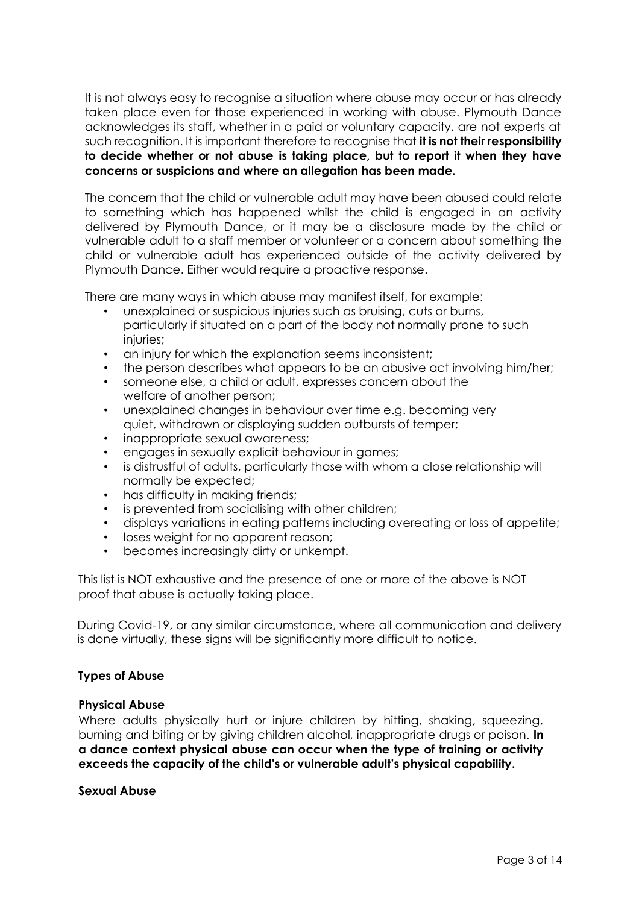It is not always easy to recognise a situation where abuse may occur or has already taken place even for those experienced in working with abuse. Plymouth Dance acknowledges its staff, whether in a paid or voluntary capacity, are not experts at such recognition. It is important therefore to recognise that **it is not their responsibility to decide whether or not abuse is taking place, but to report it when they have concerns or suspicions and where an allegation has been made.**

The concern that the child or vulnerable adult may have been abused could relate to something which has happened whilst the child is engaged in an activity delivered by Plymouth Dance, or it may be a disclosure made by the child or vulnerable adult to a staff member or volunteer or a concern about something the child or vulnerable adult has experienced outside of the activity delivered by Plymouth Dance. Either would require a proactive response.

There are many ways in which abuse may manifest itself, for example:

- unexplained or suspicious injuries such as bruising, cuts or burns, particularly if situated on a part of the body not normally prone to such injuries;
- an injury for which the explanation seems inconsistent;
- the person describes what appears to be an abusive act involving him/her;
- someone else, a child or adult, expresses concern about the welfare of another person;
- unexplained changes in behaviour over time e.g. becoming very quiet, withdrawn or displaying sudden outbursts of temper;
- inappropriate sexual awareness;
- engages in sexually explicit behaviour in games;
- is distrustful of adults, particularly those with whom a close relationship will normally be expected;
- has difficulty in making friends;
- is prevented from socialising with other children;
- displays variations in eating patterns including overeating or loss of appetite;
- loses weight for no apparent reason;
- becomes increasingly dirty or unkempt.

This list is NOT exhaustive and the presence of one or more of the above is NOT proof that abuse is actually taking place.

During Covid-19, or any similar circumstance, where all communication and delivery is done virtually, these signs will be significantly more difficult to notice.

#### **Types of Abuse**

#### **Physical Abuse**

Where adults physically hurt or injure children by hitting, shaking, squeezing, burning and biting or by giving children alcohol, inappropriate drugs or poison. **In a dance context physical abuse can occur when the type of training or activity exceeds the capacity of the child's or vulnerable adult's physical capability.**

#### **Sexual Abuse**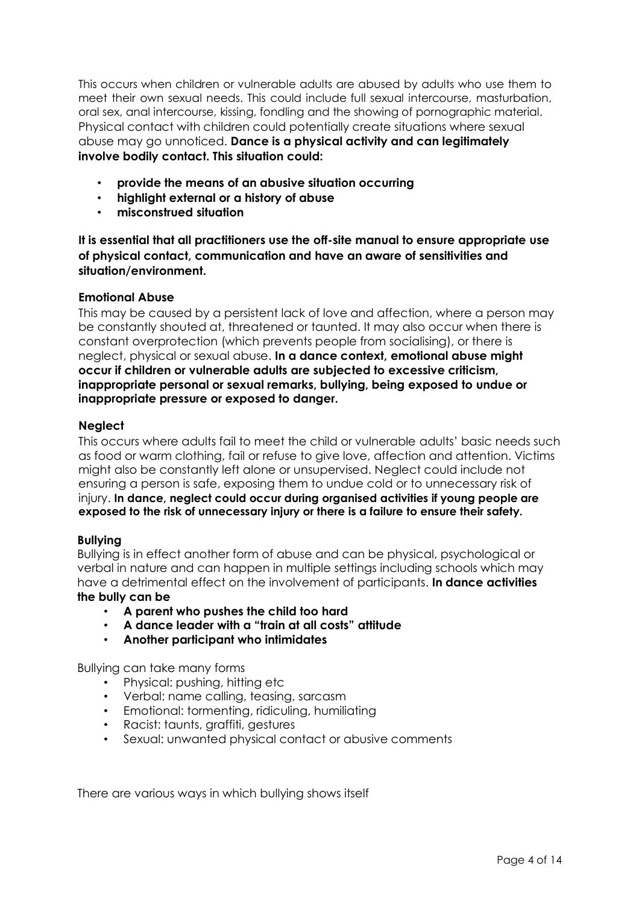This occurs when children or vulnerable adults are abused by adults who use them to meet their own sexual needs. This could include full sexual intercourse, masturbation, oral sex, anal intercourse, kissing, fondling and the showing of pornographic material. Physical contact with children could potentially create situations where sexual abuse may go unnoticed. **Dance is a physical activity and can legitimately involve bodily contact. This situation could:**

- **provide the means of an abusive situation occurring**
- **highlight external or a history of abuse**
- **misconstrued situation**

**It is essential that all practitioners use the off-site manual to ensure appropriate use of physical contact, communication and have an aware of sensitivities and situation/environment.**

# **Emotional Abuse**

This may be caused by a persistent lack of love and affection, where a person may be constantly shouted at, threatened or taunted. It may also occur when there is constant overprotection (which prevents people from socialising), or there is neglect, physical or sexual abuse. **In a dance context, emotional abuse might occur if children or vulnerable adults are subjected to excessive criticism, inappropriate personal or sexual remarks, bullying, being exposed to undue or inappropriate pressure or exposed to danger.**

# **Neglect**

This occurs where adults fail to meet the child or vulnerable adults' basic needs such as food or warm clothing, fail or refuse to give love, affection and attention. Victims might also be constantly left alone or unsupervised. Neglect could include not ensuring a person is safe, exposing them to undue cold or to unnecessary risk of injury. **In dance, neglect could occur during organised activities if young people are exposed to the risk of unnecessary injury or there is a failure to ensure their safety.**

#### **Bullying**

Bullying is in effect another form of abuse and can be physical, psychological or verbal in nature and can happen in multiple settings including schools which may have a detrimental effect on the involvement of participants. **In dance activities the bully can be**

- **A parent who pushes the child too hard**
- **A dance leader with a "train at all costs" attitude**
- **Another participant who intimidates**

Bullying can take many forms

- Physical: pushing, hitting etc
- Verbal: name calling, teasing, sarcasm
- Emotional: tormenting, ridiculing, humiliating
- Racist: taunts, graffiti, gestures
- Sexual: unwanted physical contact or abusive comments

There are various ways in which bullying shows itself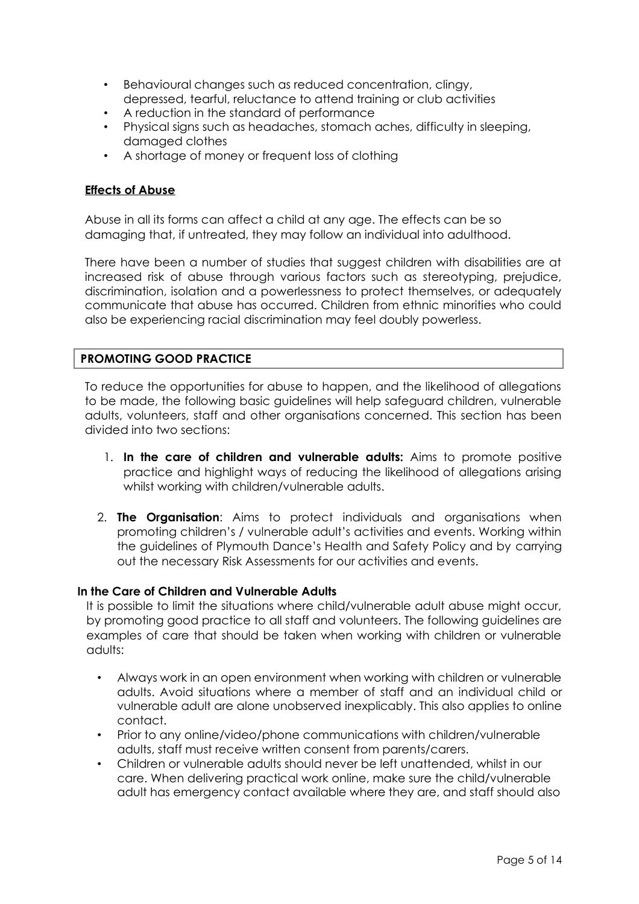- Behavioural changes such as reduced concentration, clingy, depressed, tearful, reluctance to attend training or club activities
- A reduction in the standard of performance
- Physical signs such as headaches, stomach aches, difficulty in sleeping, damaged clothes
- A shortage of money or frequent loss of clothing

#### **Effects of Abuse**

Abuse in all its forms can affect a child at any age. The effects can be so damaging that, if untreated, they may follow an individual into adulthood.

There have been a number of studies that suggest children with disabilities are at increased risk of abuse through various factors such as stereotyping, prejudice, discrimination, isolation and a powerlessness to protect themselves, or adequately communicate that abuse has occurred. Children from ethnic minorities who could also be experiencing racial discrimination may feel doubly powerless.

# **PROMOTING GOOD PRACTICE**

To reduce the opportunities for abuse to happen, and the likelihood of allegations to be made, the following basic guidelines will help safeguard children, vulnerable adults, volunteers, staff and other organisations concerned. This section has been divided into two sections:

- 1. **In the care of children and vulnerable adults:** Aims to promote positive practice and highlight ways of reducing the likelihood of allegations arising whilst working with children/vulnerable adults.
- 2. **The Organisation**: Aims to protect individuals and organisations when promoting children's / vulnerable adult's activities and events. Working within the guidelines of Plymouth Dance's Health and Safety Policy and by carrying out the necessary Risk Assessments for our activities and events.

#### **In the Care of Children and Vulnerable Adults**

It is possible to limit the situations where child/vulnerable adult abuse might occur, by promoting good practice to all staff and volunteers. The following guidelines are examples of care that should be taken when working with children or vulnerable adults:

- Always work in an open environment when working with children or vulnerable adults. Avoid situations where a member of staff and an individual child or vulnerable adult are alone unobserved inexplicably. This also applies to online contact.
- Prior to any online/video/phone communications with children/vulnerable adults, staff must receive written consent from parents/carers.
- Children or vulnerable adults should never be left unattended, whilst in our care. When delivering practical work online, make sure the child/vulnerable adult has emergency contact available where they are, and staff should also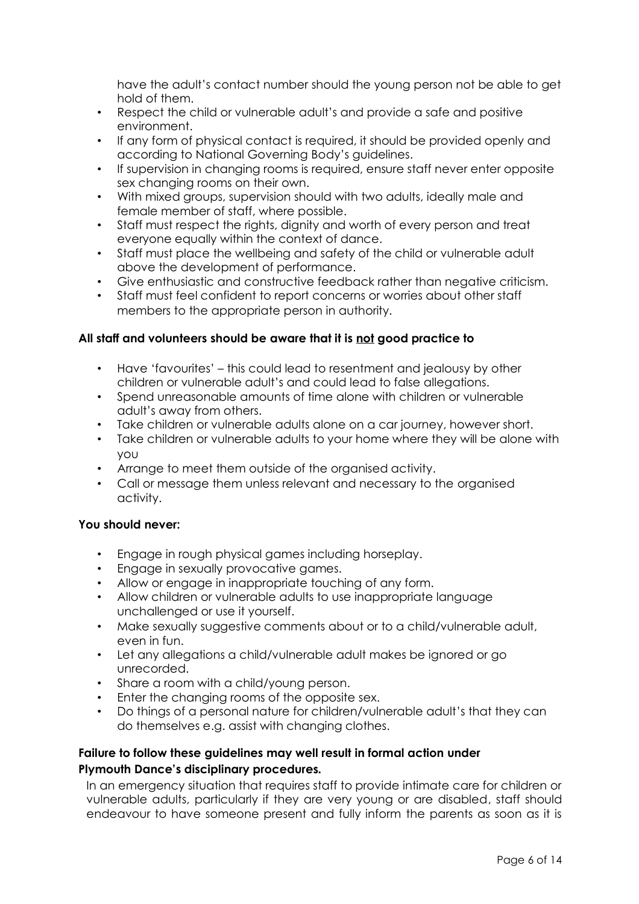have the adult's contact number should the young person not be able to get hold of them.

- Respect the child or vulnerable adult's and provide a safe and positive environment.
- If any form of physical contact is required, it should be provided openly and according to National Governing Body's guidelines.
- If supervision in changing rooms is required, ensure staff never enter opposite sex changing rooms on their own.
- With mixed groups, supervision should with two adults, ideally male and female member of staff, where possible.
- Staff must respect the rights, dignity and worth of every person and treat everyone equally within the context of dance.
- Staff must place the wellbeing and safety of the child or vulnerable adult above the development of performance.
- Give enthusiastic and constructive feedback rather than negative criticism.
- Staff must feel confident to report concerns or worries about other staff members to the appropriate person in authority.

#### **All staff and volunteers should be aware that it is not good practice to**

- Have 'favourites' this could lead to resentment and jealousy by other children or vulnerable adult's and could lead to false allegations.
- Spend unreasonable amounts of time alone with children or vulnerable adult's away from others.
- Take children or vulnerable adults alone on a car journey, however short.
- Take children or vulnerable adults to your home where they will be alone with you
- Arrange to meet them outside of the organised activity.
- Call or message them unless relevant and necessary to the organised activity.

#### **You should never:**

- Engage in rough physical games including horseplay.
- Engage in sexually provocative games.
- Allow or engage in inappropriate touching of any form.
- Allow children or vulnerable adults to use inappropriate language unchallenged or use it yourself.
- Make sexually suggestive comments about or to a child/vulnerable adult, even in fun.
- Let any allegations a child/vulnerable adult makes be ignored or go unrecorded.
- Share a room with a child/young person.
- Enter the changing rooms of the opposite sex.
- Do things of a personal nature for children/vulnerable adult's that they can do themselves e.g. assist with changing clothes.

# **Failure to follow these guidelines may well result in formal action under Plymouth Dance's disciplinary procedures***.*

In an emergency situation that requires staff to provide intimate care for children or vulnerable adults, particularly if they are very young or are disabled, staff should endeavour to have someone present and fully inform the parents as soon as it is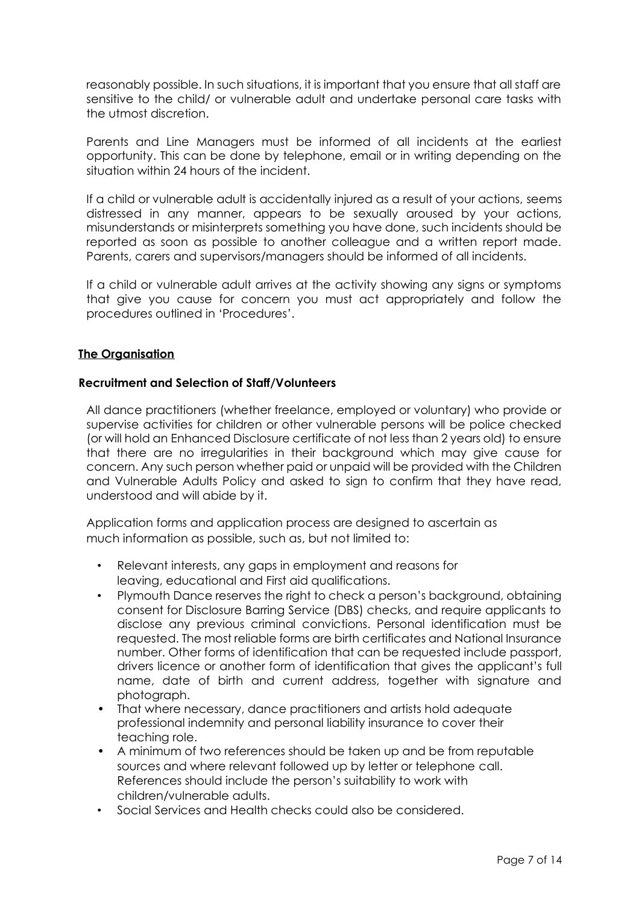reasonably possible. In such situations, it is important that you ensure that all staff are sensitive to the child/ or vulnerable adult and undertake personal care tasks with the utmost discretion.

Parents and Line Managers must be informed of all incidents at the earliest opportunity. This can be done by telephone, email or in writing depending on the situation within 24 hours of the incident.

If a child or vulnerable adult is accidentally injured as a result of your actions, seems distressed in any manner, appears to be sexually aroused by your actions, misunderstands or misinterprets something you have done, such incidents should be reported as soon as possible to another colleague and a written report made. Parents, carers and supervisors/managers should be informed of all incidents.

If a child or vulnerable adult arrives at the activity showing any signs or symptoms that give you cause for concern you must act appropriately and follow the procedures outlined in 'Procedures'.

# **The Organisation**

#### **Recruitment and Selection of Staff/Volunteers**

All dance practitioners (whether freelance, employed or voluntary) who provide or supervise activities for children or other vulnerable persons will be police checked (or will hold an Enhanced Disclosure certificate of not less than 2 years old) to ensure that there are no irregularities in their background which may give cause for concern. Any such person whether paid or unpaid will be provided with the Children and Vulnerable Adults Policy and asked to sign to confirm that they have read, understood and will abide by it.

Application forms and application process are designed to ascertain as much information as possible, such as, but not limited to:

- Relevant interests, any gaps in employment and reasons for leaving, educational and First aid qualifications.
- Plymouth Dance reserves the right to check a person's background, obtaining consent for Disclosure Barring Service (DBS) checks, and require applicants to disclose any previous criminal convictions. Personal identification must be requested. The most reliable forms are birth certificates and National Insurance number. Other forms of identification that can be requested include passport, drivers licence or another form of identification that gives the applicant's full name, date of birth and current address, together with signature and photograph.
- That where necessary, dance practitioners and artists hold adequate professional indemnity and personal liability insurance to cover their teaching role.
- A minimum of two references should be taken up and be from reputable sources and where relevant followed up by letter or telephone call. References should include the person's suitability to work with children/vulnerable adults.
- Social Services and Health checks could also be considered.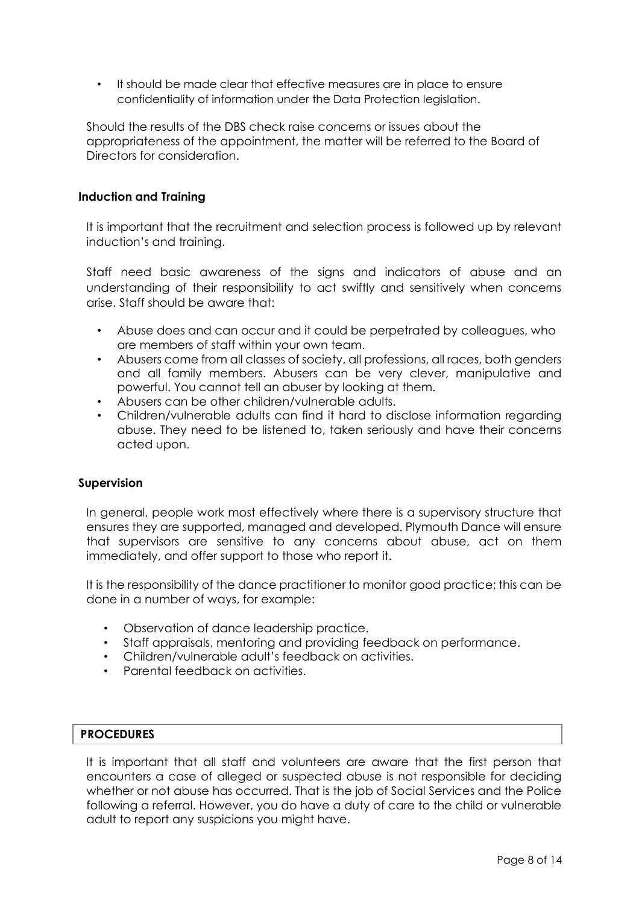• It should be made clear that effective measures are in place to ensure confidentiality of information under the Data Protection legislation.

Should the results of the DBS check raise concerns or issues about the appropriateness of the appointment, the matter will be referred to the Board of Directors for consideration.

# **Induction and Training**

It is important that the recruitment and selection process is followed up by relevant induction's and training.

Staff need basic awareness of the signs and indicators of abuse and an understanding of their responsibility to act swiftly and sensitively when concerns arise. Staff should be aware that:

- Abuse does and can occur and it could be perpetrated by colleagues, who are members of staff within your own team.
- Abusers come from all classes of society, all professions, all races, both genders and all family members. Abusers can be very clever, manipulative and powerful. You cannot tell an abuser by looking at them.
- Abusers can be other children/vulnerable adults.
- Children/vulnerable adults can find it hard to disclose information regarding abuse. They need to be listened to, taken seriously and have their concerns acted upon.

#### **Supervision**

In general, people work most effectively where there is a supervisory structure that ensures they are supported, managed and developed. Plymouth Dance will ensure that supervisors are sensitive to any concerns about abuse, act on them immediately, and offer support to those who report it.

It is the responsibility of the dance practitioner to monitor good practice; this can be done in a number of ways, for example:

- Observation of dance leadership practice.
- Staff appraisals, mentoring and providing feedback on performance.
- Children/vulnerable adult's feedback on activities.
- Parental feedback on activities.

#### **PROCEDURES**

It is important that all staff and volunteers are aware that the first person that encounters a case of alleged or suspected abuse is not responsible for deciding whether or not abuse has occurred. That is the job of Social Services and the Police following a referral. However, you do have a duty of care to the child or vulnerable adult to report any suspicions you might have.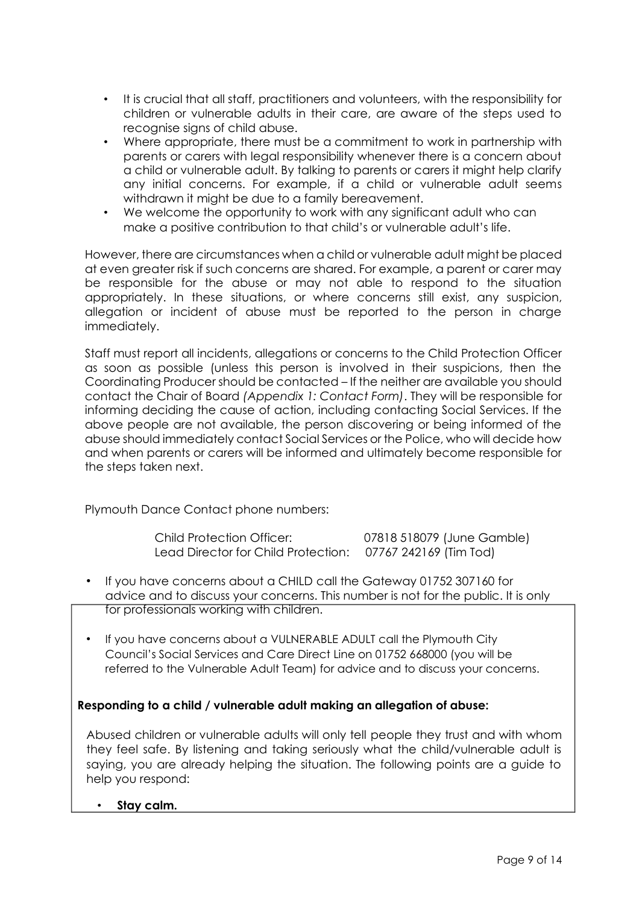- It is crucial that all staff, practitioners and volunteers, with the responsibility for children or vulnerable adults in their care, are aware of the steps used to recognise signs of child abuse.
- Where appropriate, there must be a commitment to work in partnership with parents or carers with legal responsibility whenever there is a concern about a child or vulnerable adult. By talking to parents or carers it might help clarify any initial concerns. For example, if a child or vulnerable adult seems withdrawn it might be due to a family bereavement.
- We welcome the opportunity to work with any significant adult who can make a positive contribution to that child's or vulnerable adult's life.

However, there are circumstances when a child or vulnerable adult might be placed at even greater risk if such concerns are shared. For example, a parent or carer may be responsible for the abuse or may not able to respond to the situation appropriately. In these situations, or where concerns still exist, any suspicion, allegation or incident of abuse must be reported to the person in charge immediately.

Staff must report all incidents, allegations or concerns to the Child Protection Officer as soon as possible (unless this person is involved in their suspicions, then the Coordinating Producer should be contacted – If the neither are available you should contact the Chair of Board *(Appendix 1: Contact Form)*. They will be responsible for informing deciding the cause of action, including contacting Social Services. If the above people are not available, the person discovering or being informed of the abuse should immediately contact Social Services or the Police, who will decide how and when parents or carers will be informed and ultimately become responsible for the steps taken next.

Plymouth Dance Contact phone numbers:

Child Protection Officer: 07818 518079 (June Gamble) Lead Director for Child Protection: 07767 242169 (Tim Tod)

- If you have concerns about a CHILD call the Gateway 01752 307160 for advice and to discuss your concerns. This number is not for the public. It is only for professionals working with children.
- If you have concerns about a VULNERABLE ADULT call the Plymouth City Council's Social Services and Care Direct Line on 01752 668000 (you will be referred to the Vulnerable Adult Team) for advice and to discuss your concerns.

# **Responding to a child / vulnerable adult making an allegation of abuse:**

Abused children or vulnerable adults will only tell people they trust and with whom they feel safe. By listening and taking seriously what the child/vulnerable adult is saying, you are already helping the situation. The following points are a guide to help you respond:

• **Stay calm.**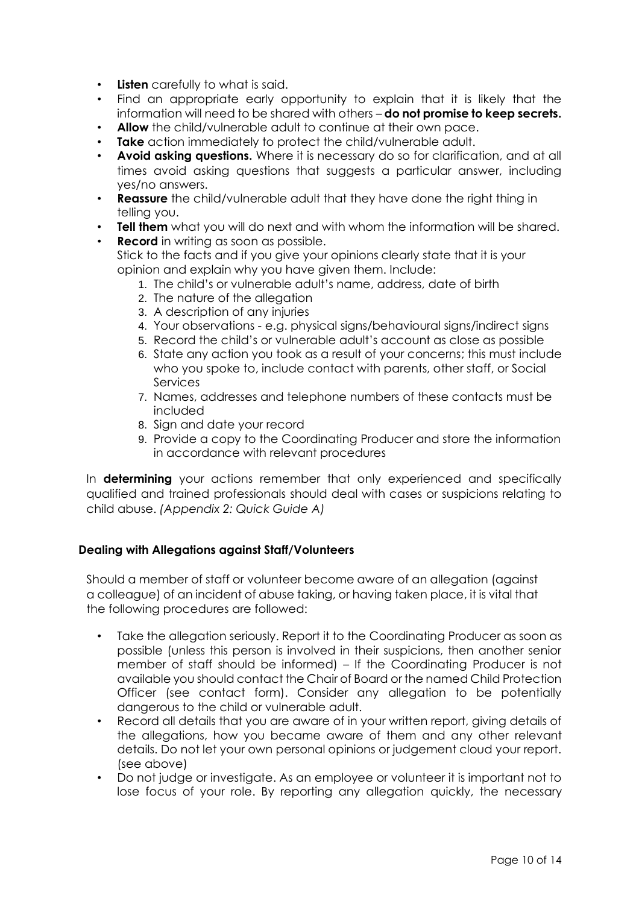- **Listen** carefully to what is said.
- Find an appropriate early opportunity to explain that it is likely that the information will need to be shared with others – **do not promise to keep secrets.**
- Allow the child/vulnerable adult to continue at their own pace.
- **Take** action immediately to protect the child/vulnerable adult.
- **Avoid asking questions.** Where it is necessary do so for clarification, and at all times avoid asking questions that suggests a particular answer, including yes/no answers.
- **Reassure** the child/vulnerable adult that they have done the right thing in telling you.
- **Tell them** what you will do next and with whom the information will be shared.
- **Record** in writing as soon as possible. Stick to the facts and if you give your opinions clearly state that it is your opinion and explain why you have given them. Include:
	- 1. The child's or vulnerable adult's name, address, date of birth
	- 2. The nature of the allegation
	- 3. A description of any injuries
	- 4. Your observations e.g. physical signs/behavioural signs/indirect signs
	- 5. Record the child's or vulnerable adult's account as close as possible
	- 6. State any action you took as a result of your concerns; this must include who you spoke to, include contact with parents, other staff, or Social **Services**
	- 7. Names, addresses and telephone numbers of these contacts must be included
	- 8. Sign and date your record
	- 9. Provide a copy to the Coordinating Producer and store the information in accordance with relevant procedures

In **determining** your actions remember that only experienced and specifically qualified and trained professionals should deal with cases or suspicions relating to child abuse. *(Appendix 2: Quick Guide A)*

#### **Dealing with Allegations against Staff/Volunteers**

Should a member of staff or volunteer become aware of an allegation (against a colleague) of an incident of abuse taking, or having taken place, it is vital that the following procedures are followed:

- Take the allegation seriously. Report it to the Coordinating Producer as soon as possible (unless this person is involved in their suspicions, then another senior member of staff should be informed) – If the Coordinating Producer is not available you should contact the Chair of Board or the named Child Protection Officer (see contact form). Consider any allegation to be potentially dangerous to the child or vulnerable adult.
- Record all details that you are aware of in your written report, giving details of the allegations, how you became aware of them and any other relevant details. Do not let your own personal opinions or judgement cloud your report. (see above)
- Do not judge or investigate. As an employee or volunteer it is important not to lose focus of your role. By reporting any allegation quickly, the necessary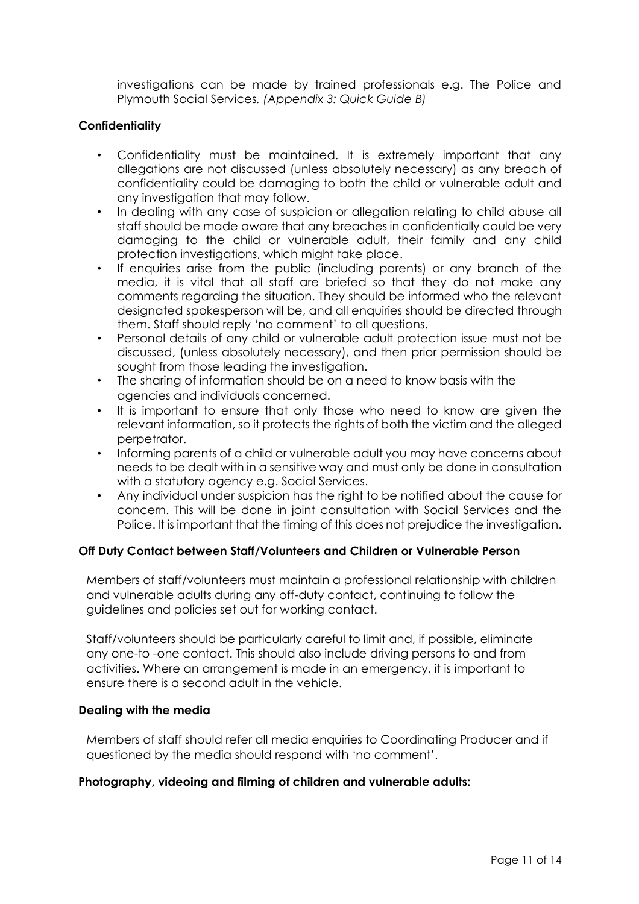investigations can be made by trained professionals e.g. The Police and Plymouth Social Services*. (Appendix 3: Quick Guide B)*

#### **Confidentiality**

- Confidentiality must be maintained. It is extremely important that any allegations are not discussed (unless absolutely necessary) as any breach of confidentiality could be damaging to both the child or vulnerable adult and any investigation that may follow.
- In dealing with any case of suspicion or allegation relating to child abuse all staff should be made aware that any breaches in confidentially could be very damaging to the child or vulnerable adult, their family and any child protection investigations, which might take place.
- If enquiries arise from the public (including parents) or any branch of the media, it is vital that all staff are briefed so that they do not make any comments regarding the situation. They should be informed who the relevant designated spokesperson will be, and all enquiries should be directed through them. Staff should reply 'no comment' to all questions.
- Personal details of any child or vulnerable adult protection issue must not be discussed, (unless absolutely necessary), and then prior permission should be sought from those leading the investigation.
- The sharing of information should be on a need to know basis with the agencies and individuals concerned.
- It is important to ensure that only those who need to know are given the relevant information, so it protects the rights of both the victim and the alleged perpetrator.
- Informing parents of a child or vulnerable adult you may have concerns about needs to be dealt with in a sensitive way and must only be done in consultation with a statutory agency e.g. Social Services.
- Any individual under suspicion has the right to be notified about the cause for concern. This will be done in joint consultation with Social Services and the Police. It is important that the timing of this does not prejudice the investigation.

#### **Off Duty Contact between Staff/Volunteers and Children or Vulnerable Person**

Members of staff/volunteers must maintain a professional relationship with children and vulnerable adults during any off-duty contact, continuing to follow the guidelines and policies set out for working contact.

Staff/volunteers should be particularly careful to limit and, if possible, eliminate any one-to -one contact. This should also include driving persons to and from activities. Where an arrangement is made in an emergency, it is important to ensure there is a second adult in the vehicle.

#### **Dealing with the media**

Members of staff should refer all media enquiries to Coordinating Producer and if questioned by the media should respond with 'no comment'.

#### **Photography, videoing and filming of children and vulnerable adults:**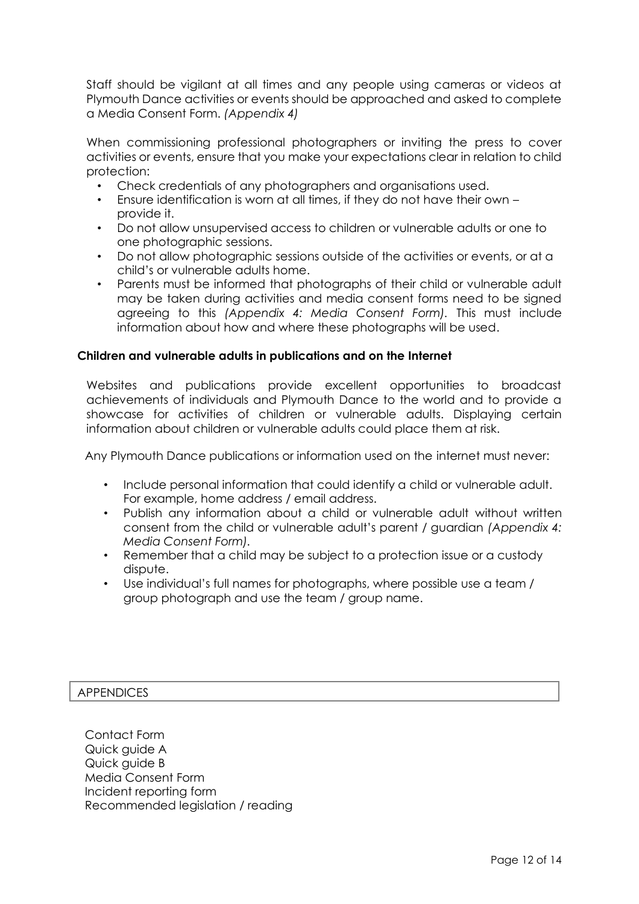Staff should be vigilant at all times and any people using cameras or videos at Plymouth Dance activities or events should be approached and asked to complete a Media Consent Form. *(Appendix 4)*

When commissioning professional photographers or inviting the press to cover activities or events, ensure that you make your expectations clear in relation to child protection:

- Check credentials of any photographers and organisations used.
- Ensure identification is worn at all times, if they do not have their own provide it.
- Do not allow unsupervised access to children or vulnerable adults or one to one photographic sessions.
- Do not allow photographic sessions outside of the activities or events, or at a child's or vulnerable adults home.
- Parents must be informed that photographs of their child or vulnerable adult may be taken during activities and media consent forms need to be signed agreeing to this *(Appendix 4: Media Consent Form).* This must include information about how and where these photographs will be used.

#### **Children and vulnerable adults in publications and on the Internet**

Websites and publications provide excellent opportunities to broadcast achievements of individuals and Plymouth Dance to the world and to provide a showcase for activities of children or vulnerable adults. Displaying certain information about children or vulnerable adults could place them at risk.

Any Plymouth Dance publications or information used on the internet must never:

- Include personal information that could identify a child or vulnerable adult. For example, home address / email address.
- Publish any information about a child or vulnerable adult without written consent from the child or vulnerable adult's parent / guardian *(Appendix 4: Media Consent Form).*
- Remember that a child may be subject to a protection issue or a custody dispute.
- Use individual's full names for photographs, where possible use a team / group photograph and use the team / group name.

#### APPENDICES

Contact Form Quick guide A Quick guide B Media Consent Form Incident reporting form Recommended legislation / reading